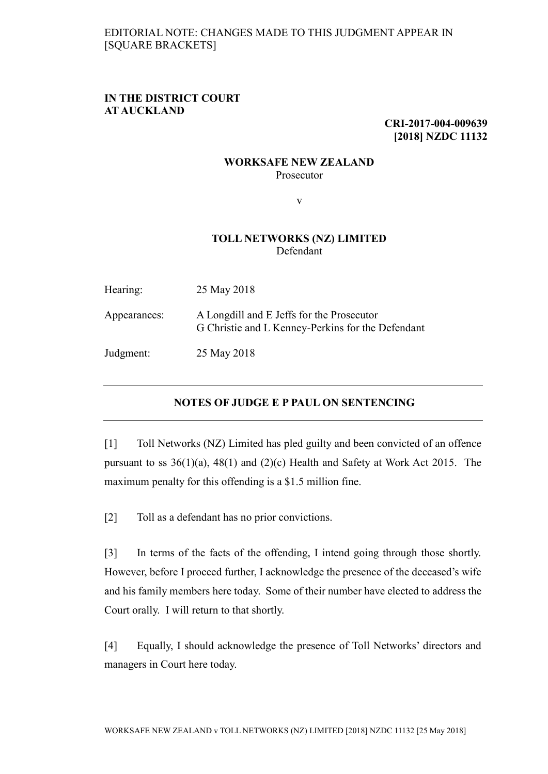## **IN THE DISTRICT COURT AT AUCKLAND**

**CRI-2017-004-009639 [2018] NZDC 11132**

## **WORKSAFE NEW ZEALAND** Prosecutor

v

## **TOLL NETWORKS (NZ) LIMITED** Defendant

| Hearing:     | 25 May 2018                                                                                    |
|--------------|------------------------------------------------------------------------------------------------|
| Appearances: | A Longdill and E Jeffs for the Prosecutor<br>G Christie and L Kenney-Perkins for the Defendant |
| Judgment:    | 25 May 2018                                                                                    |

## **NOTES OF JUDGE E P PAUL ON SENTENCING**

[1] Toll Networks (NZ) Limited has pled guilty and been convicted of an offence pursuant to ss 36(1)(a), 48(1) and (2)(c) Health and Safety at Work Act 2015. The maximum penalty for this offending is a \$1.5 million fine.

[2] Toll as a defendant has no prior convictions.

[3] In terms of the facts of the offending, I intend going through those shortly. However, before I proceed further, I acknowledge the presence of the deceased's wife and his family members here today. Some of their number have elected to address the Court orally. I will return to that shortly.

[4] Equally, I should acknowledge the presence of Toll Networks' directors and managers in Court here today.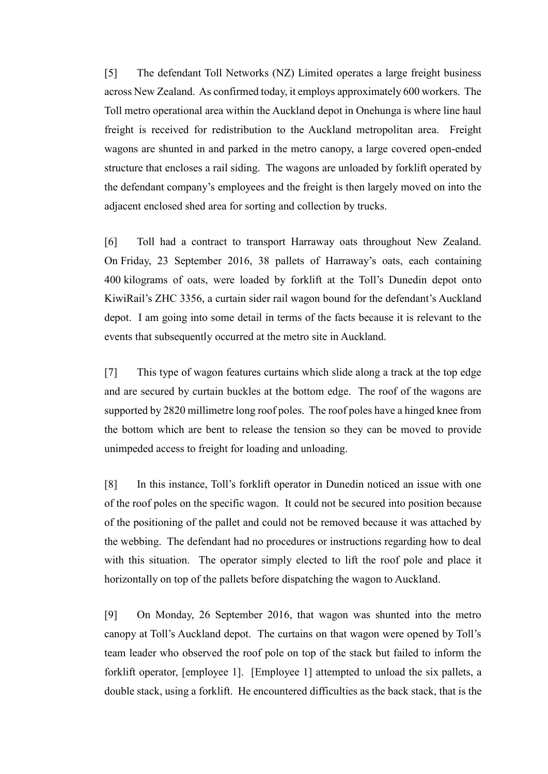[5] The defendant Toll Networks (NZ) Limited operates a large freight business across New Zealand. As confirmed today, it employs approximately 600 workers. The Toll metro operational area within the Auckland depot in Onehunga is where line haul freight is received for redistribution to the Auckland metropolitan area. Freight wagons are shunted in and parked in the metro canopy, a large covered open-ended structure that encloses a rail siding. The wagons are unloaded by forklift operated by the defendant company's employees and the freight is then largely moved on into the adjacent enclosed shed area for sorting and collection by trucks.

[6] Toll had a contract to transport Harraway oats throughout New Zealand. On Friday, 23 September 2016, 38 pallets of Harraway's oats, each containing 400 kilograms of oats, were loaded by forklift at the Toll's Dunedin depot onto KiwiRail's ZHC 3356, a curtain sider rail wagon bound for the defendant's Auckland depot. I am going into some detail in terms of the facts because it is relevant to the events that subsequently occurred at the metro site in Auckland.

[7] This type of wagon features curtains which slide along a track at the top edge and are secured by curtain buckles at the bottom edge. The roof of the wagons are supported by 2820 millimetre long roof poles. The roof poles have a hinged knee from the bottom which are bent to release the tension so they can be moved to provide unimpeded access to freight for loading and unloading.

[8] In this instance, Toll's forklift operator in Dunedin noticed an issue with one of the roof poles on the specific wagon. It could not be secured into position because of the positioning of the pallet and could not be removed because it was attached by the webbing. The defendant had no procedures or instructions regarding how to deal with this situation. The operator simply elected to lift the roof pole and place it horizontally on top of the pallets before dispatching the wagon to Auckland.

[9] On Monday, 26 September 2016, that wagon was shunted into the metro canopy at Toll's Auckland depot. The curtains on that wagon were opened by Toll's team leader who observed the roof pole on top of the stack but failed to inform the forklift operator, [employee 1]. [Employee 1] attempted to unload the six pallets, a double stack, using a forklift. He encountered difficulties as the back stack, that is the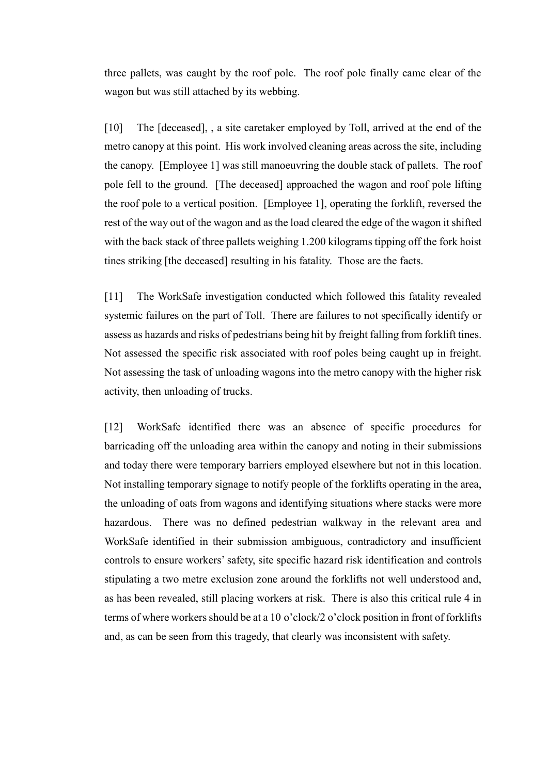three pallets, was caught by the roof pole. The roof pole finally came clear of the wagon but was still attached by its webbing.

[10] The [deceased], , a site caretaker employed by Toll, arrived at the end of the metro canopy at this point. His work involved cleaning areas across the site, including the canopy. [Employee 1] was still manoeuvring the double stack of pallets. The roof pole fell to the ground. [The deceased] approached the wagon and roof pole lifting the roof pole to a vertical position. [Employee 1], operating the forklift, reversed the rest of the way out of the wagon and as the load cleared the edge of the wagon it shifted with the back stack of three pallets weighing 1.200 kilograms tipping off the fork hoist tines striking [the deceased] resulting in his fatality. Those are the facts.

[11] The WorkSafe investigation conducted which followed this fatality revealed systemic failures on the part of Toll. There are failures to not specifically identify or assess as hazards and risks of pedestrians being hit by freight falling from forklift tines. Not assessed the specific risk associated with roof poles being caught up in freight. Not assessing the task of unloading wagons into the metro canopy with the higher risk activity, then unloading of trucks.

[12] WorkSafe identified there was an absence of specific procedures for barricading off the unloading area within the canopy and noting in their submissions and today there were temporary barriers employed elsewhere but not in this location. Not installing temporary signage to notify people of the forklifts operating in the area, the unloading of oats from wagons and identifying situations where stacks were more hazardous. There was no defined pedestrian walkway in the relevant area and WorkSafe identified in their submission ambiguous, contradictory and insufficient controls to ensure workers' safety, site specific hazard risk identification and controls stipulating a two metre exclusion zone around the forklifts not well understood and, as has been revealed, still placing workers at risk. There is also this critical rule 4 in terms of where workers should be at a 10 o'clock/2 o'clock position in front of forklifts and, as can be seen from this tragedy, that clearly was inconsistent with safety.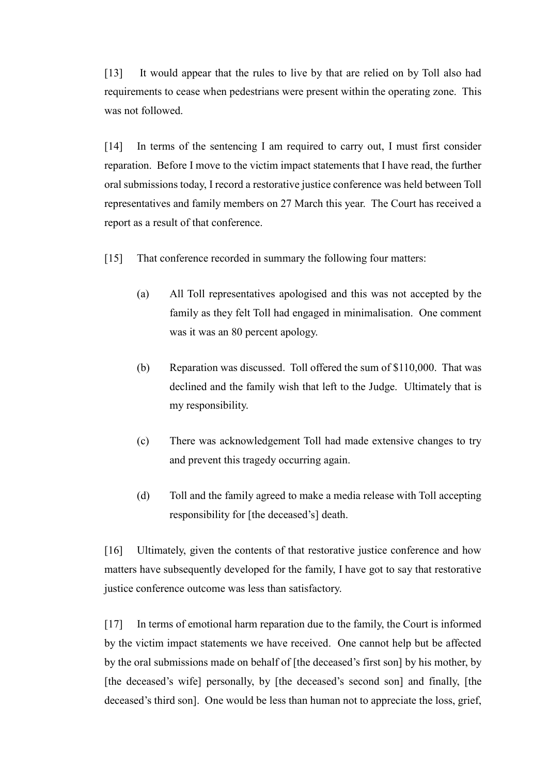[13] It would appear that the rules to live by that are relied on by Toll also had requirements to cease when pedestrians were present within the operating zone. This was not followed.

[14] In terms of the sentencing I am required to carry out, I must first consider reparation. Before I move to the victim impact statements that I have read, the further oral submissions today, I record a restorative justice conference was held between Toll representatives and family members on 27 March this year. The Court has received a report as a result of that conference.

- [15] That conference recorded in summary the following four matters:
	- (a) All Toll representatives apologised and this was not accepted by the family as they felt Toll had engaged in minimalisation. One comment was it was an 80 percent apology.
	- (b) Reparation was discussed. Toll offered the sum of \$110,000. That was declined and the family wish that left to the Judge. Ultimately that is my responsibility.
	- (c) There was acknowledgement Toll had made extensive changes to try and prevent this tragedy occurring again.
	- (d) Toll and the family agreed to make a media release with Toll accepting responsibility for [the deceased's] death.

[16] Ultimately, given the contents of that restorative justice conference and how matters have subsequently developed for the family, I have got to say that restorative justice conference outcome was less than satisfactory.

[17] In terms of emotional harm reparation due to the family, the Court is informed by the victim impact statements we have received. One cannot help but be affected by the oral submissions made on behalf of [the deceased's first son] by his mother, by [the deceased's wife] personally, by [the deceased's second son] and finally, [the deceased's third son]. One would be less than human not to appreciate the loss, grief,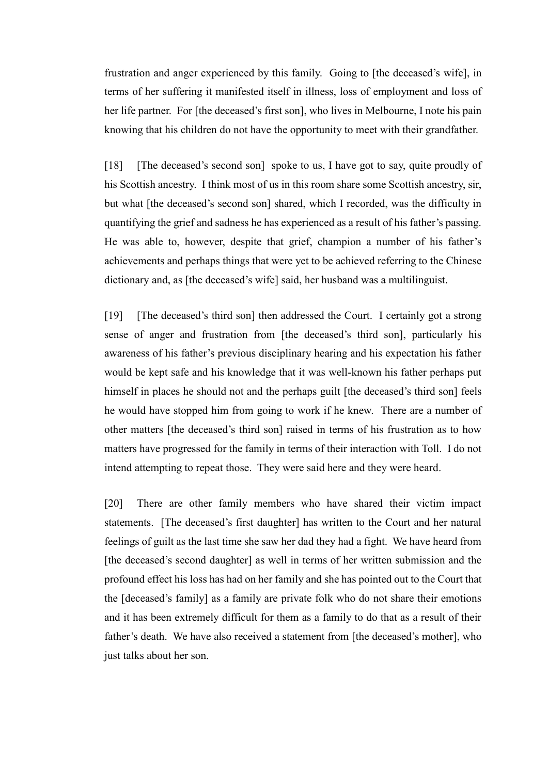frustration and anger experienced by this family. Going to [the deceased's wife], in terms of her suffering it manifested itself in illness, loss of employment and loss of her life partner. For [the deceased's first son], who lives in Melbourne, I note his pain knowing that his children do not have the opportunity to meet with their grandfather.

[18] [The deceased's second son] spoke to us, I have got to say, quite proudly of his Scottish ancestry. I think most of us in this room share some Scottish ancestry, sir, but what [the deceased's second son] shared, which I recorded, was the difficulty in quantifying the grief and sadness he has experienced as a result of his father's passing. He was able to, however, despite that grief, champion a number of his father's achievements and perhaps things that were yet to be achieved referring to the Chinese dictionary and, as [the deceased's wife] said, her husband was a multilinguist.

[19] [The deceased's third son] then addressed the Court. I certainly got a strong sense of anger and frustration from [the deceased's third son], particularly his awareness of his father's previous disciplinary hearing and his expectation his father would be kept safe and his knowledge that it was well-known his father perhaps put himself in places he should not and the perhaps guilt [the deceased's third son] feels he would have stopped him from going to work if he knew. There are a number of other matters [the deceased's third son] raised in terms of his frustration as to how matters have progressed for the family in terms of their interaction with Toll. I do not intend attempting to repeat those. They were said here and they were heard.

[20] There are other family members who have shared their victim impact statements. [The deceased's first daughter] has written to the Court and her natural feelings of guilt as the last time she saw her dad they had a fight. We have heard from [the deceased's second daughter] as well in terms of her written submission and the profound effect his loss has had on her family and she has pointed out to the Court that the [deceased's family] as a family are private folk who do not share their emotions and it has been extremely difficult for them as a family to do that as a result of their father's death. We have also received a statement from [the deceased's mother], who just talks about her son.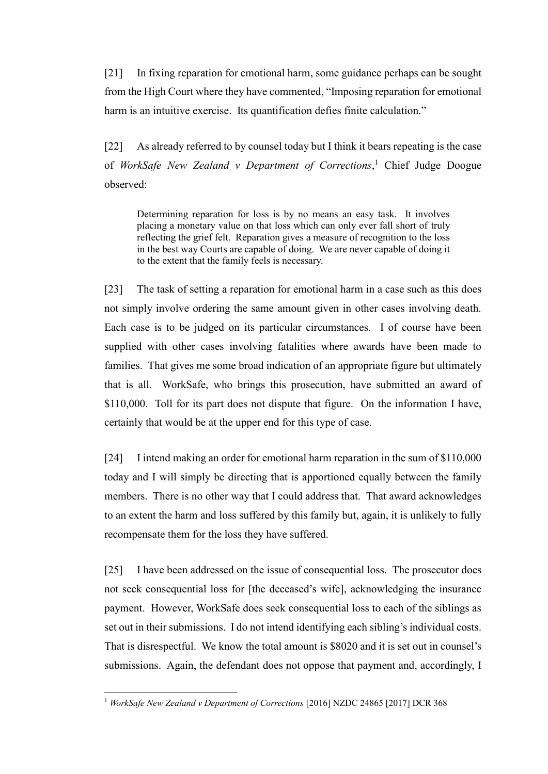[21] In fixing reparation for emotional harm, some guidance perhaps can be sought from the High Court where they have commented, "Imposing reparation for emotional harm is an intuitive exercise. Its quantification defies finite calculation."

[22] As already referred to by counsel today but I think it bears repeating is the case of *WorkSafe New Zealand v Department of Corrections*, <sup>1</sup> Chief Judge Doogue observed:

Determining reparation for loss is by no means an easy task. It involves placing a monetary value on that loss which can only ever fall short of truly reflecting the grief felt. Reparation gives a measure of recognition to the loss in the best way Courts are capable of doing. We are never capable of doing it to the extent that the family feels is necessary.

[23] The task of setting a reparation for emotional harm in a case such as this does not simply involve ordering the same amount given in other cases involving death. Each case is to be judged on its particular circumstances. I of course have been supplied with other cases involving fatalities where awards have been made to families. That gives me some broad indication of an appropriate figure but ultimately that is all. WorkSafe, who brings this prosecution, have submitted an award of \$110,000. Toll for its part does not dispute that figure. On the information I have, certainly that would be at the upper end for this type of case.

[24] I intend making an order for emotional harm reparation in the sum of \$110,000 today and I will simply be directing that is apportioned equally between the family members. There is no other way that I could address that. That award acknowledges to an extent the harm and loss suffered by this family but, again, it is unlikely to fully recompensate them for the loss they have suffered.

[25] I have been addressed on the issue of consequential loss. The prosecutor does not seek consequential loss for [the deceased's wife], acknowledging the insurance payment. However, WorkSafe does seek consequential loss to each of the siblings as set out in their submissions. I do not intend identifying each sibling's individual costs. That is disrespectful. We know the total amount is \$8020 and it is set out in counsel's submissions. Again, the defendant does not oppose that payment and, accordingly, I

 $\overline{a}$ 

<sup>&</sup>lt;sup>1</sup> *WorkSafe New Zealand v Department of Corrections* [2016] NZDC 24865 [2017] DCR 368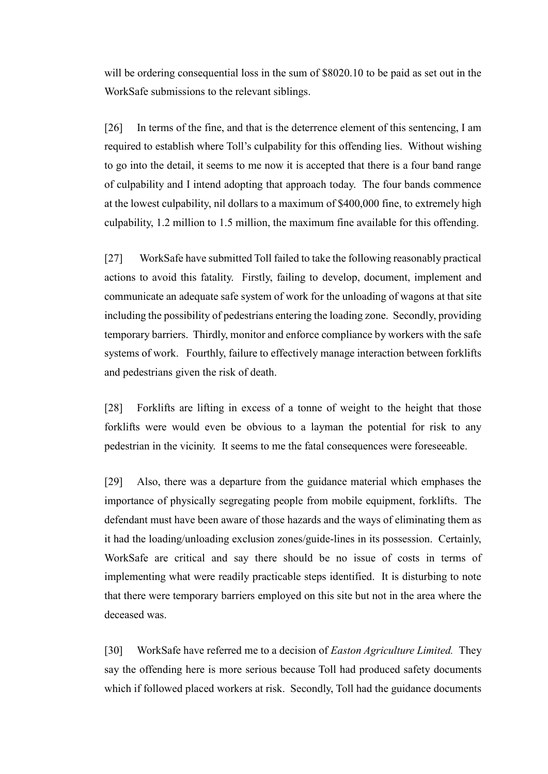will be ordering consequential loss in the sum of \$8020.10 to be paid as set out in the WorkSafe submissions to the relevant siblings.

[26] In terms of the fine, and that is the deterrence element of this sentencing, I am required to establish where Toll's culpability for this offending lies. Without wishing to go into the detail, it seems to me now it is accepted that there is a four band range of culpability and I intend adopting that approach today. The four bands commence at the lowest culpability, nil dollars to a maximum of \$400,000 fine, to extremely high culpability, 1.2 million to 1.5 million, the maximum fine available for this offending.

[27] WorkSafe have submitted Toll failed to take the following reasonably practical actions to avoid this fatality. Firstly, failing to develop, document, implement and communicate an adequate safe system of work for the unloading of wagons at that site including the possibility of pedestrians entering the loading zone. Secondly, providing temporary barriers. Thirdly, monitor and enforce compliance by workers with the safe systems of work. Fourthly, failure to effectively manage interaction between forklifts and pedestrians given the risk of death.

[28] Forklifts are lifting in excess of a tonne of weight to the height that those forklifts were would even be obvious to a layman the potential for risk to any pedestrian in the vicinity. It seems to me the fatal consequences were foreseeable.

[29] Also, there was a departure from the guidance material which emphases the importance of physically segregating people from mobile equipment, forklifts. The defendant must have been aware of those hazards and the ways of eliminating them as it had the loading/unloading exclusion zones/guide-lines in its possession. Certainly, WorkSafe are critical and say there should be no issue of costs in terms of implementing what were readily practicable steps identified. It is disturbing to note that there were temporary barriers employed on this site but not in the area where the deceased was.

[30] WorkSafe have referred me to a decision of *Easton Agriculture Limited.* They say the offending here is more serious because Toll had produced safety documents which if followed placed workers at risk. Secondly, Toll had the guidance documents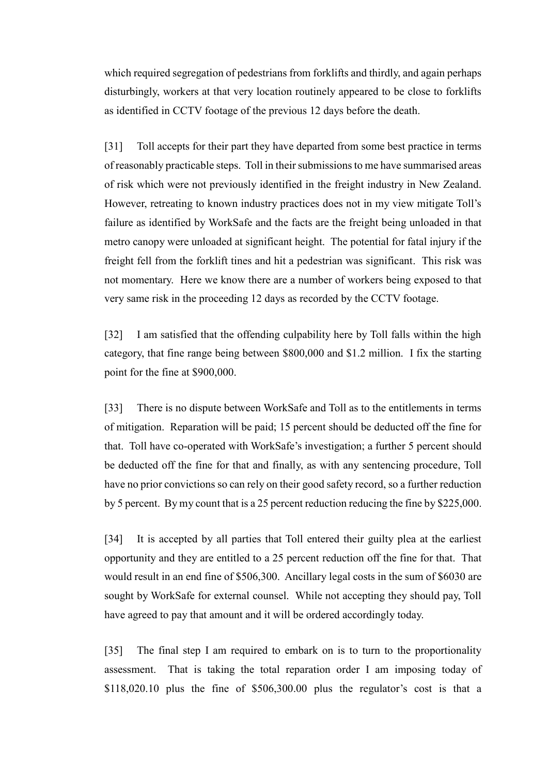which required segregation of pedestrians from forklifts and thirdly, and again perhaps disturbingly, workers at that very location routinely appeared to be close to forklifts as identified in CCTV footage of the previous 12 days before the death.

[31] Toll accepts for their part they have departed from some best practice in terms of reasonably practicable steps. Toll in their submissions to me have summarised areas of risk which were not previously identified in the freight industry in New Zealand. However, retreating to known industry practices does not in my view mitigate Toll's failure as identified by WorkSafe and the facts are the freight being unloaded in that metro canopy were unloaded at significant height. The potential for fatal injury if the freight fell from the forklift tines and hit a pedestrian was significant. This risk was not momentary. Here we know there are a number of workers being exposed to that very same risk in the proceeding 12 days as recorded by the CCTV footage.

[32] I am satisfied that the offending culpability here by Toll falls within the high category, that fine range being between \$800,000 and \$1.2 million. I fix the starting point for the fine at \$900,000.

[33] There is no dispute between WorkSafe and Toll as to the entitlements in terms of mitigation. Reparation will be paid; 15 percent should be deducted off the fine for that. Toll have co-operated with WorkSafe's investigation; a further 5 percent should be deducted off the fine for that and finally, as with any sentencing procedure, Toll have no prior convictions so can rely on their good safety record, so a further reduction by 5 percent. By my count that is a 25 percent reduction reducing the fine by \$225,000.

[34] It is accepted by all parties that Toll entered their guilty plea at the earliest opportunity and they are entitled to a 25 percent reduction off the fine for that. That would result in an end fine of \$506,300. Ancillary legal costs in the sum of \$6030 are sought by WorkSafe for external counsel. While not accepting they should pay, Toll have agreed to pay that amount and it will be ordered accordingly today.

[35] The final step I am required to embark on is to turn to the proportionality assessment. That is taking the total reparation order I am imposing today of \$118,020.10 plus the fine of \$506,300.00 plus the regulator's cost is that a